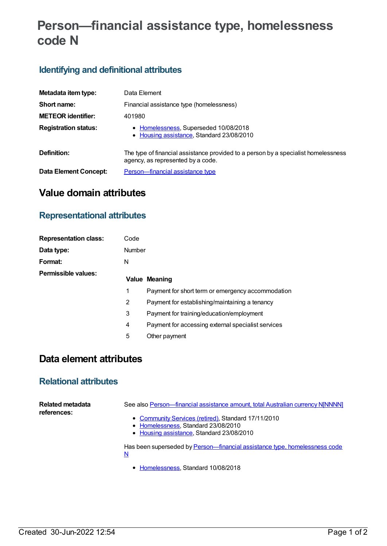# **Person—financial assistance type, homelessness code N**

### **Identifying and definitional attributes**

| Metadata item type:          | Data Element                                                                                                            |
|------------------------------|-------------------------------------------------------------------------------------------------------------------------|
| Short name:                  | Financial assistance type (homelessness)                                                                                |
| <b>METEOR identifier:</b>    | 401980                                                                                                                  |
| <b>Registration status:</b>  | • Homelessness, Superseded 10/08/2018<br>• Housing assistance, Standard 23/08/2010                                      |
| Definition:                  | The type of financial assistance provided to a person by a specialist homelessness<br>agency, as represented by a code. |
| <b>Data Element Concept:</b> | Person-financial assistance type                                                                                        |

## **Value domain attributes**

### **Representational attributes**

| <b>Representation class:</b> | Code          |                                                    |
|------------------------------|---------------|----------------------------------------------------|
| Data type:                   | <b>Number</b> |                                                    |
| Format:                      | N             |                                                    |
| Permissible values:          |               | Value Meaning                                      |
|                              | 1             | Payment for short term or emergency accommodation  |
|                              | 2             | Payment for establishing/maintaining a tenancy     |
|                              | 3             | Payment for training/education/employment          |
|                              | 4             | Payment for accessing external specialist services |
|                              | 5             | Other payment                                      |

### **Data element attributes**

#### **Relational attributes**

| Related metadata<br>references: | See also Person-financial assistance amount, total Australian currency NJNNNNI  |
|---------------------------------|---------------------------------------------------------------------------------|
|                                 | • Community Services (retired), Standard 17/11/2010                             |
|                                 | • Homelessness, Standard 23/08/2010                                             |
|                                 | • Housing assistance, Standard 23/08/2010                                       |
|                                 | Has been superseded by Person-financial assistance type, homelessness code<br>N |

• [Homelessness](https://meteor.aihw.gov.au/RegistrationAuthority/14), Standard 10/08/2018